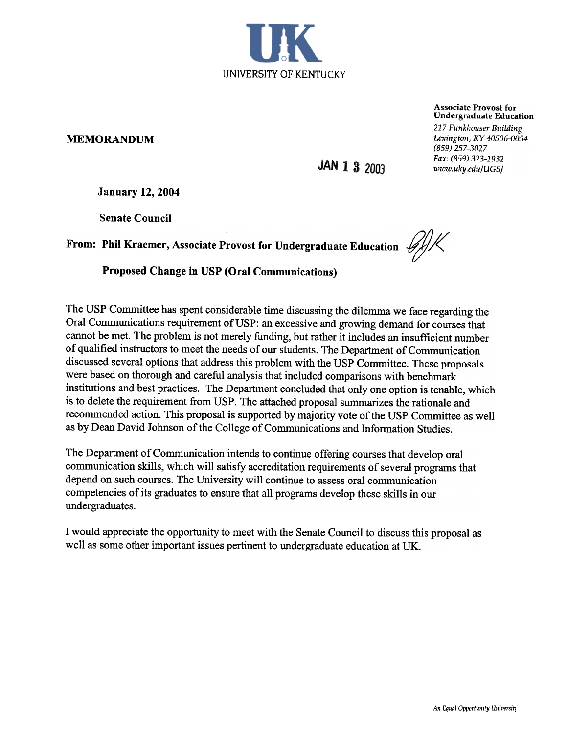

MEMORANDUM

Associate Provost for Undergraduate Education

217 Funkhouser Building Lexington, KY 40506-0054 (859) 257-3027 Fax: (859) 323-1932 www.uky.edu/UGS/

**JAN 1 3 2003** 

January 12, 2004

Senate Council

From: Phil Kraemer, Associate Provost for Undergraduate Education  $\mathscr{G}/\mathscr{G}$ 

Proposed Change in USP (Oral Communications)

The USP Committee has spent considerable time discussing the dilemma we face regarding the Oral Communications requirement of USP: an excessive and growing demand for courses that cannot be met. The problem is not merely funding, but rather it includes an insufficient number of qualified instructors to meet the needs of our students. The Department of Communication discussed several options that address this problem with the USP Committee. These proposals were based on thorough and careful analysis that included comparisons with benchmark institutions and best practices. The Department concluded that only one option is tenable, which is to delete the requirement from USP. The attached proposal summarizes the rationale and recommended action. This proposal is supported by majority vote of the USP Committee as well as by Dean David Johnson of the College of Communications and Information Studies.

The Department of Communication intends to continue offering courses that develop oral communication skills, which will satisfy accreditation requirements of several programs that depend on such courses. The University will continue to assess oral communication competencies of its graduates to ensure that all programs develop these skills in our undergraduates.

I would appreciate the opportunity to meet with the Senate Council to discuss this proposal as well as some other important issues pertinent to undergraduate education at UK.